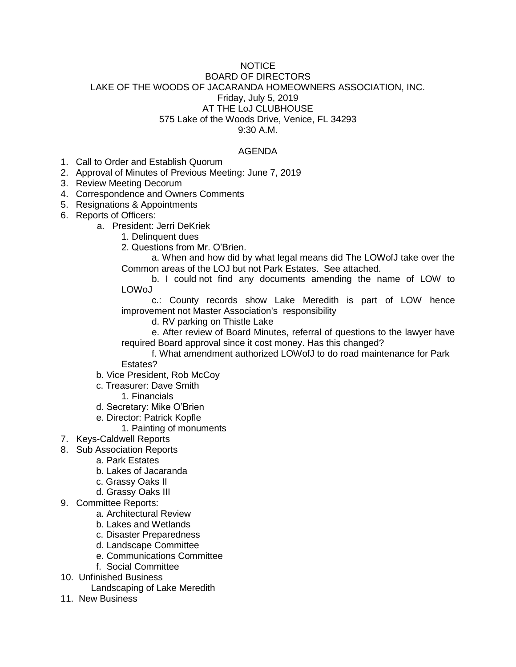## NOTICE BOARD OF DIRECTORS LAKE OF THE WOODS OF JACARANDA HOMEOWNERS ASSOCIATION, INC. Friday, July 5, 2019 AT THE LoJ CLUBHOUSE 575 Lake of the Woods Drive, Venice, FL 34293 9:30 A.M.

## AGENDA

- 1. Call to Order and Establish Quorum
- 2. Approval of Minutes of Previous Meeting: June 7, 2019
- 3. Review Meeting Decorum
- 4. Correspondence and Owners Comments
- 5. Resignations & Appointments
- 6. Reports of Officers:
	- a. President: Jerri DeKriek
		- 1. Delinquent dues
		- 2. Questions from Mr. O'Brien.

a. When and how did by what legal means did The LOWofJ take over the Common areas of the LOJ but not Park Estates. See attached.

b. I could not find any documents amending the name of LOW to LOWoJ

c.: County records show Lake Meredith is part of LOW hence improvement not Master Association's responsibility

d. RV parking on Thistle Lake

e. After review of Board Minutes, referral of questions to the lawyer have required Board approval since it cost money. Has this changed?

f. What amendment authorized LOWofJ to do road maintenance for Park

Estates?

- b. Vice President, Rob McCoy
- c. Treasurer: Dave Smith
	- 1. Financials
- d. Secretary: Mike O'Brien
- e. Director: Patrick Kopfle
	- 1. Painting of monuments
- 7. Keys-Caldwell Reports
- 8. Sub Association Reports
	- a. Park Estates
	- b. Lakes of Jacaranda
	- c. Grassy Oaks II
	- d. Grassy Oaks III
- 9. Committee Reports:
	- a. Architectural Review
	- b. Lakes and Wetlands
	- c. Disaster Preparedness
	- d. Landscape Committee
	- e. Communications Committee
	- f. Social Committee
- 10. Unfinished Business
	- Landscaping of Lake Meredith
- 11. New Business